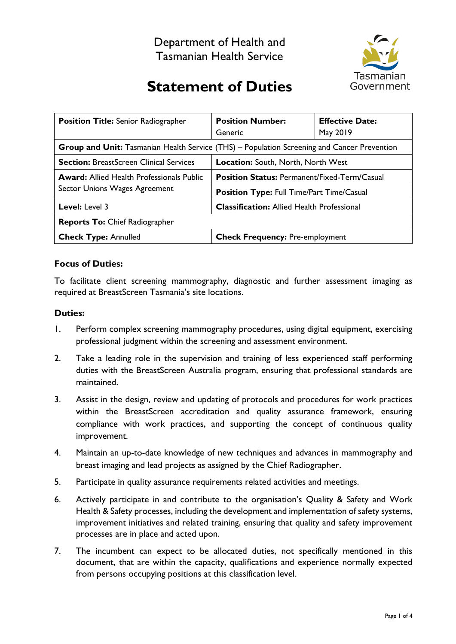

# **Statement of Duties**

| <b>Position Title:</b> Senior Radiographer                                                         | <b>Position Number:</b><br>Generic                  | <b>Effective Date:</b><br>May 2019 |
|----------------------------------------------------------------------------------------------------|-----------------------------------------------------|------------------------------------|
| <b>Group and Unit:</b> Tasmanian Health Service (THS) – Population Screening and Cancer Prevention |                                                     |                                    |
| <b>Section:</b> BreastScreen Clinical Services                                                     | <b>Location: South, North, North West</b>           |                                    |
| <b>Award:</b> Allied Health Professionals Public<br>Sector Unions Wages Agreement                  | <b>Position Status: Permanent/Fixed-Term/Casual</b> |                                    |
|                                                                                                    | <b>Position Type: Full Time/Part Time/Casual</b>    |                                    |
| <b>Level:</b> Level 3                                                                              | <b>Classification:</b> Allied Health Professional   |                                    |
| <b>Reports To: Chief Radiographer</b>                                                              |                                                     |                                    |
| <b>Check Type: Annulled</b>                                                                        | <b>Check Frequency: Pre-employment</b>              |                                    |

## **Focus of Duties:**

To facilitate client screening mammography, diagnostic and further assessment imaging as required at BreastScreen Tasmania's site locations.

## **Duties:**

- 1. Perform complex screening mammography procedures, using digital equipment, exercising professional judgment within the screening and assessment environment.
- 2. Take a leading role in the supervision and training of less experienced staff performing duties with the BreastScreen Australia program, ensuring that professional standards are maintained.
- 3. Assist in the design, review and updating of protocols and procedures for work practices within the BreastScreen accreditation and quality assurance framework, ensuring compliance with work practices, and supporting the concept of continuous quality improvement.
- 4. Maintain an up-to-date knowledge of new techniques and advances in mammography and breast imaging and lead projects as assigned by the Chief Radiographer.
- 5. Participate in quality assurance requirements related activities and meetings.
- 6. Actively participate in and contribute to the organisation's Quality & Safety and Work Health & Safety processes, including the development and implementation of safety systems, improvement initiatives and related training, ensuring that quality and safety improvement processes are in place and acted upon.
- 7. The incumbent can expect to be allocated duties, not specifically mentioned in this document, that are within the capacity, qualifications and experience normally expected from persons occupying positions at this classification level.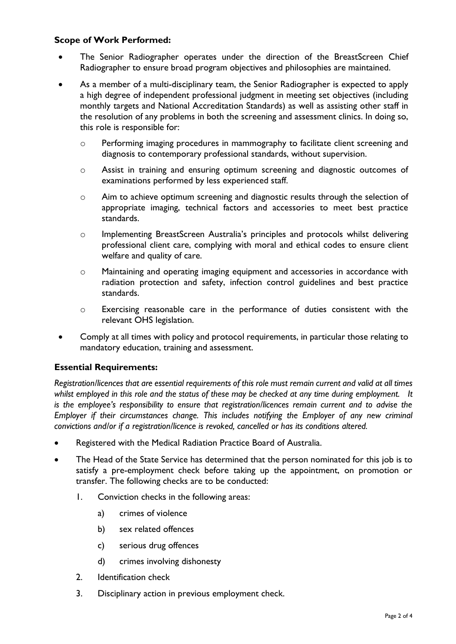## **Scope of Work Performed:**

- The Senior Radiographer operates under the direction of the BreastScreen Chief Radiographer to ensure broad program objectives and philosophies are maintained.
- As a member of a multi-disciplinary team, the Senior Radiographer is expected to apply a high degree of independent professional judgment in meeting set objectives (including monthly targets and National Accreditation Standards) as well as assisting other staff in the resolution of any problems in both the screening and assessment clinics. In doing so, this role is responsible for:
	- o Performing imaging procedures in mammography to facilitate client screening and diagnosis to contemporary professional standards, without supervision.
	- o Assist in training and ensuring optimum screening and diagnostic outcomes of examinations performed by less experienced staff.
	- o Aim to achieve optimum screening and diagnostic results through the selection of appropriate imaging, technical factors and accessories to meet best practice standards.
	- o Implementing BreastScreen Australia's principles and protocols whilst delivering professional client care, complying with moral and ethical codes to ensure client welfare and quality of care.
	- o Maintaining and operating imaging equipment and accessories in accordance with radiation protection and safety, infection control guidelines and best practice standards.
	- o Exercising reasonable care in the performance of duties consistent with the relevant OHS legislation.
- Comply at all times with policy and protocol requirements, in particular those relating to mandatory education, training and assessment.

## **Essential Requirements:**

*Registration/licences that are essential requirements of this role must remain current and valid at all times whilst employed in this role and the status of these may be checked at any time during employment. It is the employee's responsibility to ensure that registration/licences remain current and to advise the Employer if their circumstances change. This includes notifying the Employer of any new criminal convictions and/or if a registration/licence is revoked, cancelled or has its conditions altered.*

- Registered with the Medical Radiation Practice Board of Australia.
- The Head of the State Service has determined that the person nominated for this job is to satisfy a pre-employment check before taking up the appointment, on promotion or transfer. The following checks are to be conducted:
	- 1. Conviction checks in the following areas:
		- a) crimes of violence
		- b) sex related offences
		- c) serious drug offences
		- d) crimes involving dishonesty
	- 2. Identification check
	- 3. Disciplinary action in previous employment check.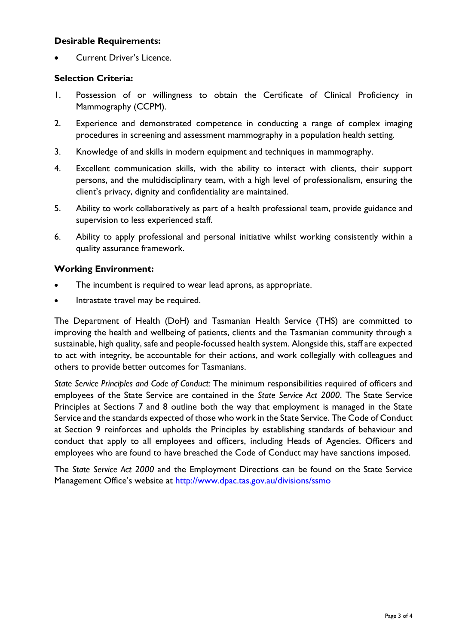## **Desirable Requirements:**

• Current Driver's Licence.

#### **Selection Criteria:**

- 1. Possession of or willingness to obtain the Certificate of Clinical Proficiency in Mammography (CCPM).
- 2. Experience and demonstrated competence in conducting a range of complex imaging procedures in screening and assessment mammography in a population health setting.
- 3. Knowledge of and skills in modern equipment and techniques in mammography.
- 4. Excellent communication skills, with the ability to interact with clients, their support persons, and the multidisciplinary team, with a high level of professionalism, ensuring the client's privacy, dignity and confidentiality are maintained.
- 5. Ability to work collaboratively as part of a health professional team, provide guidance and supervision to less experienced staff.
- 6. Ability to apply professional and personal initiative whilst working consistently within a quality assurance framework.

#### **Working Environment:**

- The incumbent is required to wear lead aprons, as appropriate.
- Intrastate travel may be required.

The Department of Health (DoH) and Tasmanian Health Service (THS) are committed to improving the health and wellbeing of patients, clients and the Tasmanian community through a sustainable, high quality, safe and people-focussed health system. Alongside this, staff are expected to act with integrity, be accountable for their actions, and work collegially with colleagues and others to provide better outcomes for Tasmanians.

*State Service Principles and Code of Conduct:* The minimum responsibilities required of officers and employees of the State Service are contained in the *State Service Act 2000*. The State Service Principles at Sections 7 and 8 outline both the way that employment is managed in the State Service and the standards expected of those who work in the State Service. The Code of Conduct at Section 9 reinforces and upholds the Principles by establishing standards of behaviour and conduct that apply to all employees and officers, including Heads of Agencies. Officers and employees who are found to have breached the Code of Conduct may have sanctions imposed.

The *State Service Act 2000* and the Employment Directions can be found on the State Service Management Office's website at<http://www.dpac.tas.gov.au/divisions/ssmo>